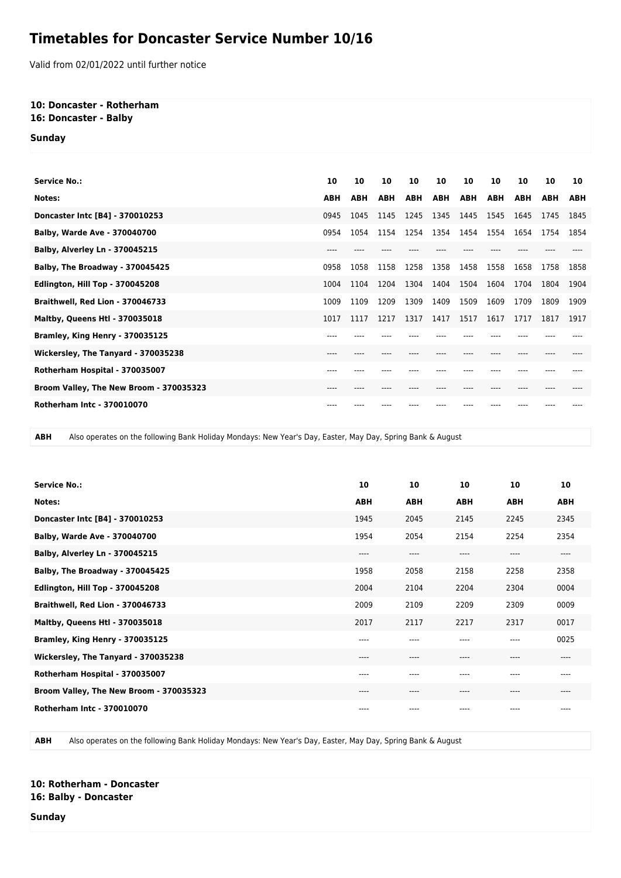## **Timetables for Doncaster Service Number 10/16**

Valid from 02/01/2022 until further notice

## **10: Doncaster - Rotherham 16: Doncaster - Balby**

**Sunday**

| <b>Service No.:</b>                     | 10         | 10         | 10         | 10         | 10         | 10         | 10         | 10         | 10         | 10         |
|-----------------------------------------|------------|------------|------------|------------|------------|------------|------------|------------|------------|------------|
| Notes:                                  | <b>ABH</b> | <b>ABH</b> | <b>ABH</b> | <b>ABH</b> | <b>ABH</b> | <b>ABH</b> | <b>ABH</b> | <b>ABH</b> | <b>ABH</b> | <b>ABH</b> |
| Doncaster Intc [B4] - 370010253         | 0945       | 1045       | 1145       | 1245       | 1345       | 1445       | 1545       | 1645       | 1745       | 1845       |
| Balby, Warde Ave - 370040700            | 0954       | 1054       | 1154       | 1254       | 1354       | 1454       | 1554       | 1654       | 1754       | 1854       |
| <b>Balby, Alverley Ln - 370045215</b>   | $---$      |            |            |            |            |            |            |            |            |            |
| Balby, The Broadway - 370045425         | 0958       | 1058       | 1158       | 1258       | 1358       | 1458       | 1558       | 1658       | 1758       | 1858       |
| Edlington, Hill Top - 370045208         | 1004       | 1104       | 1204       | 1304       | 1404       | 1504       | 1604       | 1704       | 1804       | 1904       |
| Braithwell, Red Lion - 370046733        | 1009       | 1109       | 1209       | 1309       | 1409       | 1509       | 1609       | 1709       | 1809       | 1909       |
| <b>Maltby, Queens Htl - 370035018</b>   | 1017       | 1117       | 1217       | 1317       | 1417       | 1517       | 1617       | 1717       | 1817       | 1917       |
| Bramley, King Henry - 370035125         | $---$      |            |            |            |            |            |            |            |            |            |
| Wickersley, The Tanyard - 370035238     | $---$      | ----       |            |            |            | ----       | ----       |            |            |            |
| Rotherham Hospital - 370035007          | $---$      |            |            |            |            |            |            |            |            |            |
| Broom Valley, The New Broom - 370035323 | ---        |            |            |            |            |            |            |            |            |            |
| <b>Rotherham Intc - 370010070</b>       |            |            |            |            |            |            |            |            |            |            |

**ABH** Also operates on the following Bank Holiday Mondays: New Year's Day, Easter, May Day, Spring Bank & August

| <b>Service No.:</b>                     | 10         | 10         | 10         | 10         | 10         |
|-----------------------------------------|------------|------------|------------|------------|------------|
|                                         |            |            |            |            |            |
| Notes:                                  | <b>ABH</b> | <b>ABH</b> | <b>ABH</b> | <b>ABH</b> | <b>ABH</b> |
| Doncaster Intc [B4] - 370010253         | 1945       | 2045       | 2145       | 2245       | 2345       |
| <b>Balby, Warde Ave - 370040700</b>     | 1954       | 2054       | 2154       | 2254       | 2354       |
| <b>Balby, Alverley Ln - 370045215</b>   | $---$      | ----       | $---$      | $---$      | $---$      |
| Balby, The Broadway - 370045425         | 1958       | 2058       | 2158       | 2258       | 2358       |
| Edlington, Hill Top - 370045208         | 2004       | 2104       | 2204       | 2304       | 0004       |
| Braithwell, Red Lion - 370046733        | 2009       | 2109       | 2209       | 2309       | 0009       |
| <b>Maltby, Queens Htl - 370035018</b>   | 2017       | 2117       | 2217       | 2317       | 0017       |
| Bramley, King Henry - 370035125         | $---$      | $- - - -$  | $---$      | $---$      | 0025       |
| Wickersley, The Tanyard - 370035238     | $---$      | $----$     | $---$      | $---$      | ----       |
| Rotherham Hospital - 370035007          | $---$      | ----       | $---$      | ----       | ----       |
| Broom Valley, The New Broom - 370035323 | $---$      | ----       | $-----$    | ----       | ----       |
| <b>Rotherham Intc - 370010070</b>       | $---$      |            |            |            | ----       |

**ABH** Also operates on the following Bank Holiday Mondays: New Year's Day, Easter, May Day, Spring Bank & August

## **10: Rotherham - Doncaster 16: Balby - Doncaster**